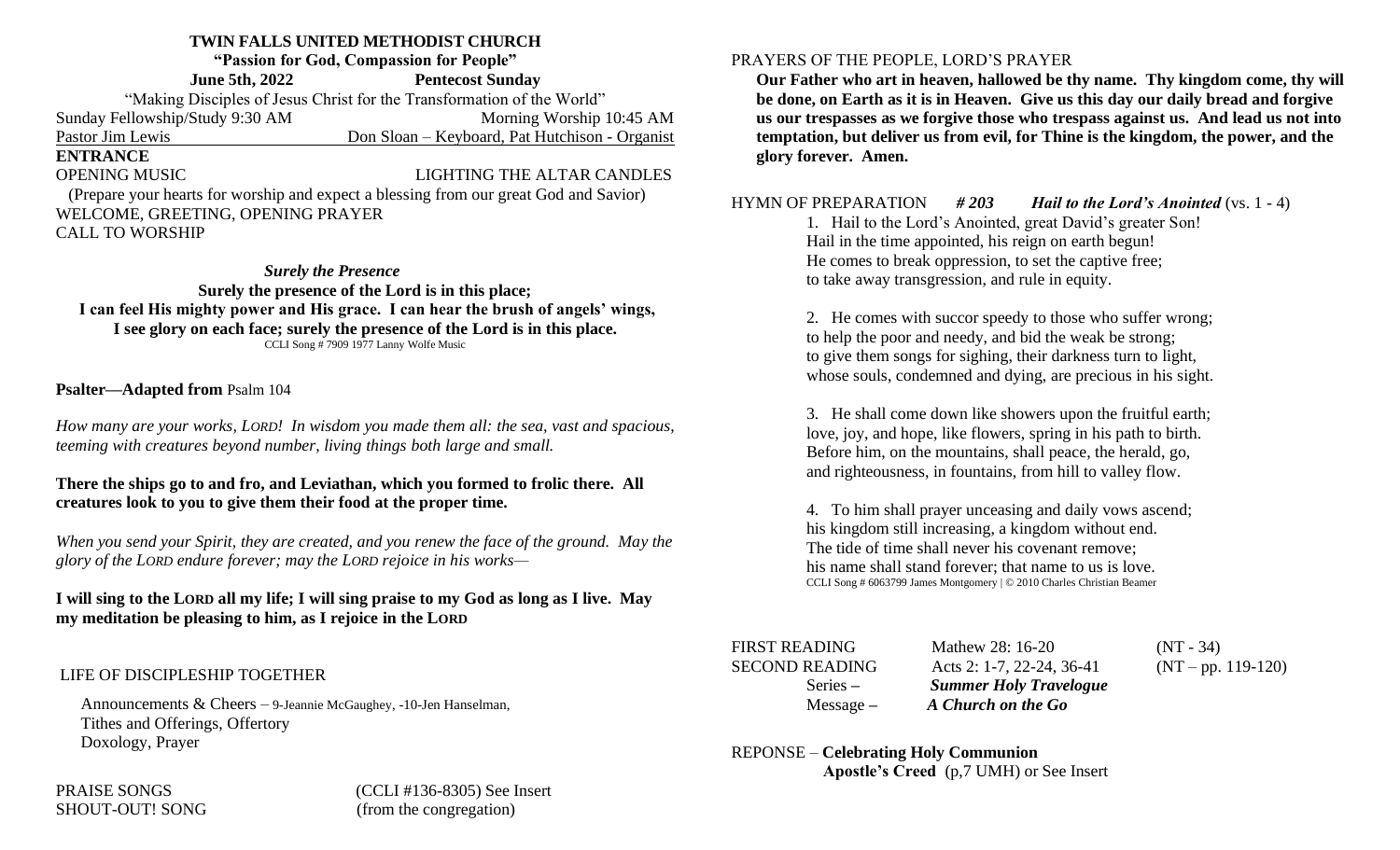# **TWIN FALLS UNITED METHODIST CHURCH**

**"Passion for God, Compassion for People"** 

**June 5th, 2022 Pentecost Sunday** "Making Disciples of Jesus Christ for the Transformation of the World" Sunday Fellowship/Study 9:30 AM Morning Worship 10:45 AM Pastor Jim Lewis Don Sloan – Keyboard, Pat Hutchison - Organist **ENTRANCE** OPENING MUSIC **LIGHTING THE ALTAR CANDLES**  (Prepare your hearts for worship and expect a blessing from our great God and Savior) WELCOME, GREETING, OPENING PRAYER CALL TO WORSHIP

#### *Surely the Presence*

**Surely the presence of the Lord is in this place; I can feel His mighty power and His grace. I can hear the brush of angels' wings, I see glory on each face; surely the presence of the Lord is in this place.** CCLI Song # 7909 1977 Lanny Wolfe Music

### **Psalter—Adapted from** Psalm 104

*How many are your works, LORD! In wisdom you made them all: the sea, vast and spacious, teeming with creatures beyond number, living things both large and small.*

#### **There the ships go to and fro, and Leviathan, which you formed to frolic there. All creatures look to you to give them their food at the proper time.**

*When you send your Spirit, they are created, and you renew the face of the ground. May the glory of the LORD endure forever; may the LORD rejoice in his works—*

# **I will sing to the LORD all my life; I will sing praise to my God as long as I live. May my meditation be pleasing to him, as I rejoice in the LORD**

# LIFE OF DISCIPLESHIP TOGETHER

Announcements & Cheers – 9-Jeannie McGaughey, -10-Jen Hanselman, Tithes and Offerings, Offertory Doxology, Prayer

# PRAYERS OF THE PEOPLE, LORD'S PRAYER

**Our Father who art in heaven, hallowed be thy name. Thy kingdom come, thy will be done, on Earth as it is in Heaven. Give us this day our daily bread and forgive us our trespasses as we forgive those who trespass against us. And lead us not into temptation, but deliver us from evil, for Thine is the kingdom, the power, and the glory forever. Amen.**

# HYMN OF PREPARATION *# 203 Hail to the Lord's Anointed* (vs. 1 - 4)

1. Hail to the Lord's Anointed, great David's greater Son! Hail in the time appointed, his reign on earth begun! He comes to break oppression, to set the captive free; to take away transgression, and rule in equity.

2. He comes with succor speedy to those who suffer wrong; to help the poor and needy, and bid the weak be strong; to give them songs for sighing, their darkness turn to light, whose souls, condemned and dying, are precious in his sight.

3. He shall come down like showers upon the fruitful earth; love, joy, and hope, like flowers, spring in his path to birth. Before him, on the mountains, shall peace, the herald, go, and righteousness, in fountains, from hill to valley flow.

4. To him shall prayer unceasing and daily vows ascend; his kingdom still increasing, a kingdom without end. The tide of time shall never his covenant remove; his name shall stand forever; that name to us is love. CCLI Song # 6063799 James Montgomery | © 2010 Charles Christian Beamer

| <b>FIRST READING</b>  |  |  |  |  |
|-----------------------|--|--|--|--|
| <b>SECOND READING</b> |  |  |  |  |
| $Series -$            |  |  |  |  |
| $Message -$           |  |  |  |  |

Mathew 28:  $16-20$  (NT - 34) Acts 2: 1-7, 22-24, 36-41 (NT – pp. 119-120) **Summer Holy Travelogue** Message *– A Church on the Go* 

#### REPONSE – **Celebrating Holy Communion Apostle's Creed** (p,7 UMH) or See Insert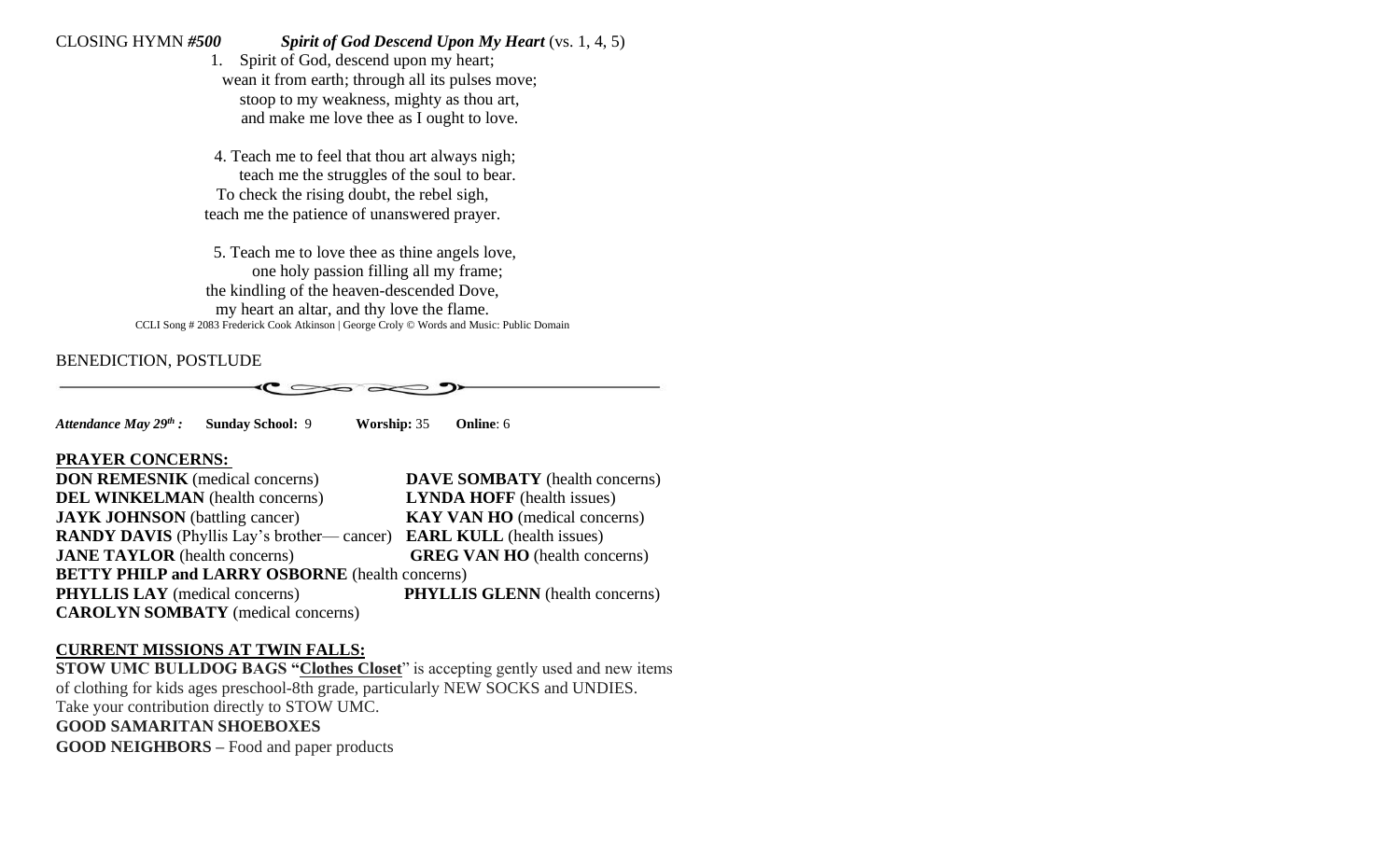# CLOSING HYMN *#500 Spirit of God Descend Upon My Heart* (vs. 1, 4, 5)

1. Spirit of God, descend upon my heart; wean it from earth; through all its pulses move; stoop to my weakness, mighty as thou art, and make me love thee as I ought to love.

4. Teach me to feel that thou art always nigh; teach me the struggles of the soul to bear. To check the rising doubt, the rebel sigh, teach me the patience of unanswered prayer.

5. Teach me to love thee as thine angels love, one holy passion filling all my frame; the kindling of the heaven-descended Dove, my heart an altar, and thy love the flame. CCLI Song # 2083 Frederick Cook Atkinson | George Croly © Words and Music: Public Domain

# BENEDICTION, POSTLUDE



*Attendance May 29th :* **Sunday School:** 9 **Worship:** 35 **Online**: 6

### **PRAYER CONCERNS:**

| <b>DON REMESNIK</b> (medical concerns)                                             | <b>DAVE SOMBATY</b> (health concerns)  |  |  |  |
|------------------------------------------------------------------------------------|----------------------------------------|--|--|--|
| <b>DEL WINKELMAN</b> (health concerns)                                             | <b>LYNDA HOFF</b> (health issues)      |  |  |  |
| <b>JAYK JOHNSON</b> (battling cancer)                                              | <b>KAY VAN HO</b> (medical concerns)   |  |  |  |
| <b>RANDY DAVIS</b> (Phyllis Lay's brother—cancer) <b>EARL KULL</b> (health issues) |                                        |  |  |  |
| <b>JANE TAYLOR</b> (health concerns)                                               | <b>GREG VAN HO</b> (health concerns)   |  |  |  |
| <b>BETTY PHILP and LARRY OSBORNE</b> (health concerns)                             |                                        |  |  |  |
| <b>PHYLLIS LAY</b> (medical concerns)                                              | <b>PHYLLIS GLENN</b> (health concerns) |  |  |  |
| <b>CAROLYN SOMBATY</b> (medical concerns)                                          |                                        |  |  |  |

# **CURRENT MISSIONS AT TWIN FALLS:**

**STOW UMC BULLDOG BAGS "Clothes Closet**" is accepting gently used and new items of clothing for kids ages preschool-8th grade, particularly NEW SOCKS and UNDIES. Take your contribution directly to STOW UMC. **GOOD SAMARITAN SHOEBOXES GOOD NEIGHBORS –** Food and paper products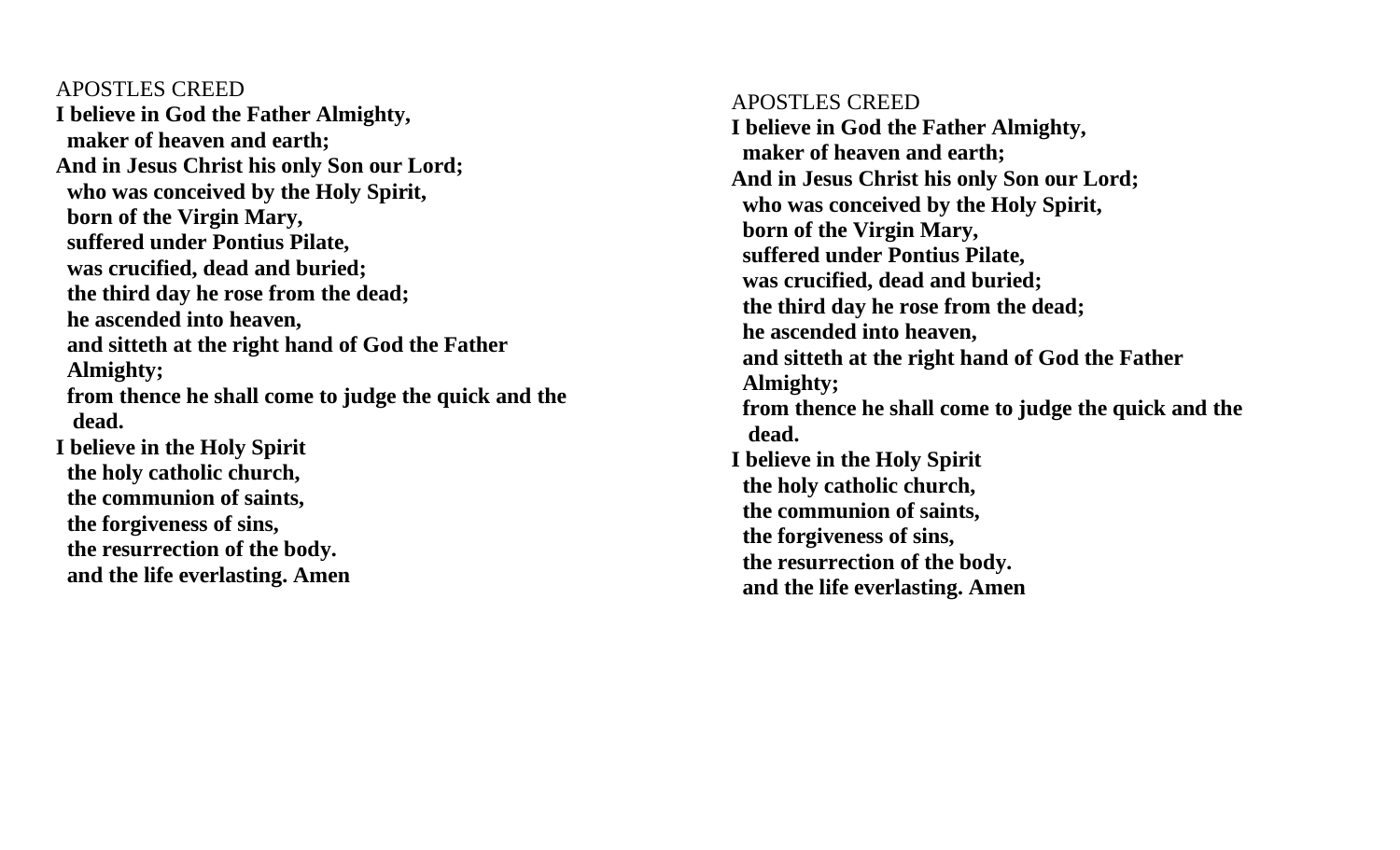APOSTLES CREED **I believe in God the Father Almighty, maker of heaven and earth; And in Jesus Christ his only Son our Lord; who was conceived by the Holy Spirit, born of the Virgin Mary, suffered under Pontius Pilate, was crucified, dead and buried; the third day he rose from the dead; he ascended into heaven, and sitteth at the right hand of God the Father Almighty; from thence he shall come to judge the quick and the dead. I believe in the Holy Spirit the holy catholic church, the communion of saints, the forgiveness of sins, the resurrection of the body. and the life everlasting. Amen** 

# APOSTLES CREED **I believe in God the Father Almighty, maker of heaven and earth; And in Jesus Christ his only Son our Lord; who was conceived by the Holy Spirit, born of the Virgin Mary, suffered under Pontius Pilate, was crucified, dead and buried; the third day he rose from the dead; he ascended into heaven, and sitteth at the right hand of God the Father Almighty; from thence he shall come to judge the quick and the dead. I believe in the Holy Spirit the holy catholic church, the communion of saints, the forgiveness of sins, the resurrection of the body. and the life everlasting. Amen**